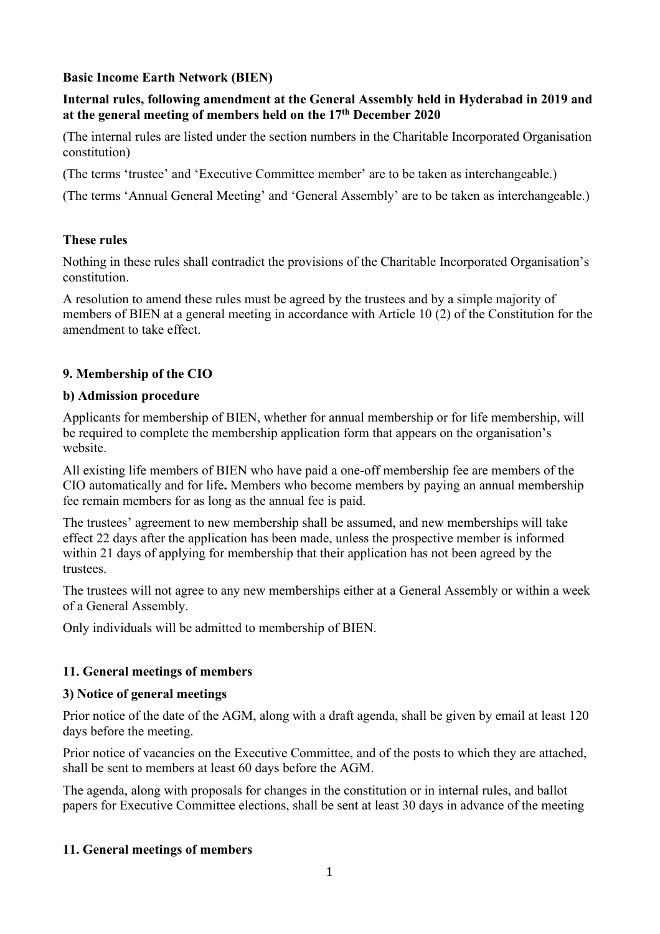## **Basic Income Earth Network (BIEN)**

### **Internal rules, following amendment at the General Assembly held in Hyderabad in 2019 and at the general meeting of members held on the 17th December 2020**

(The internal rules are listed under the section numbers in the Charitable Incorporated Organisation constitution)

(The terms 'trustee' and 'Executive Committee member' are to be taken as interchangeable.)

(The terms 'Annual General Meeting' and 'General Assembly' are to be taken as interchangeable.)

#### **These rules**

Nothing in these rules shall contradict the provisions of the Charitable Incorporated Organisation's constitution.

A resolution to amend these rules must be agreed by the trustees and by a simple majority of members of BIEN at a general meeting in accordance with Article 10 (2) of the Constitution for the amendment to take effect.

## **9. Membership of the CIO**

#### **b) Admission procedure**

Applicants for membership of BIEN, whether for annual membership or for life membership, will be required to complete the membership application form that appears on the organisation's website.

All existing life members of BIEN who have paid a one-off membership fee are members of the CIO automatically and for life**.** Members who become members by paying an annual membership fee remain members for as long as the annual fee is paid.

The trustees' agreement to new membership shall be assumed, and new memberships will take effect 22 days after the application has been made, unless the prospective member is informed within 21 days of applying for membership that their application has not been agreed by the trustees.

The trustees will not agree to any new memberships either at a General Assembly or within a week of a General Assembly.

Only individuals will be admitted to membership of BIEN.

### **11. General meetings of members**

### **3) Notice of general meetings**

Prior notice of the date of the AGM, along with a draft agenda, shall be given by email at least 120 days before the meeting.

Prior notice of vacancies on the Executive Committee, and of the posts to which they are attached, shall be sent to members at least 60 days before the AGM.

The agenda, along with proposals for changes in the constitution or in internal rules, and ballot papers for Executive Committee elections, shall be sent at least 30 days in advance of the meeting

### **11. General meetings of members**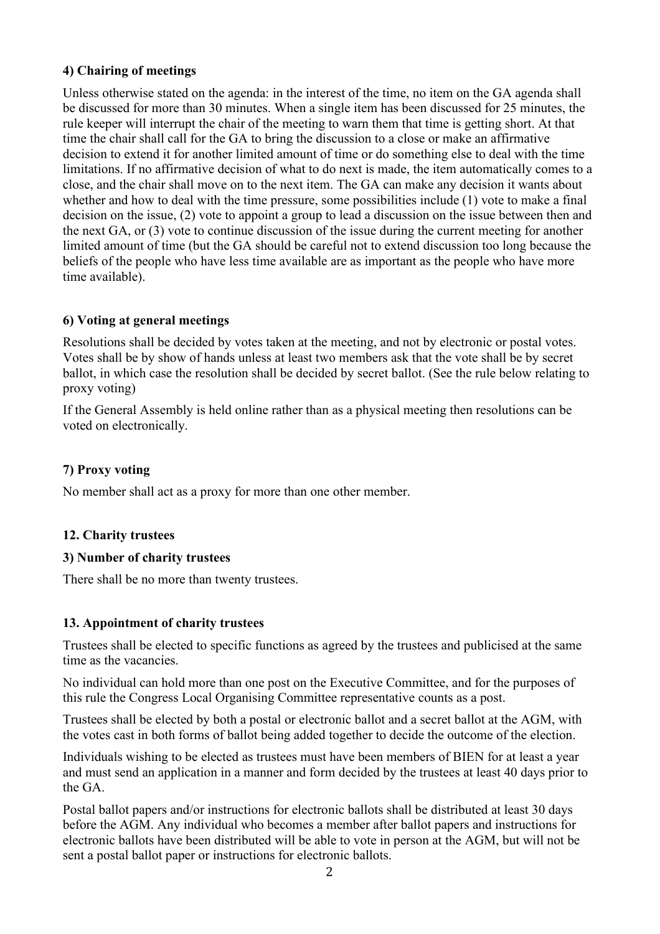## **4) Chairing of meetings**

Unless otherwise stated on the agenda: in the interest of the time, no item on the GA agenda shall be discussed for more than 30 minutes. When a single item has been discussed for 25 minutes, the rule keeper will interrupt the chair of the meeting to warn them that time is getting short. At that time the chair shall call for the GA to bring the discussion to a close or make an affirmative decision to extend it for another limited amount of time or do something else to deal with the time limitations. If no affirmative decision of what to do next is made, the item automatically comes to a close, and the chair shall move on to the next item. The GA can make any decision it wants about whether and how to deal with the time pressure, some possibilities include (1) vote to make a final decision on the issue, (2) vote to appoint a group to lead a discussion on the issue between then and the next GA, or (3) vote to continue discussion of the issue during the current meeting for another limited amount of time (but the GA should be careful not to extend discussion too long because the beliefs of the people who have less time available are as important as the people who have more time available).

## **6) Voting at general meetings**

Resolutions shall be decided by votes taken at the meeting, and not by electronic or postal votes. Votes shall be by show of hands unless at least two members ask that the vote shall be by secret ballot, in which case the resolution shall be decided by secret ballot. (See the rule below relating to proxy voting)

If the General Assembly is held online rather than as a physical meeting then resolutions can be voted on electronically.

# **7) Proxy voting**

No member shall act as a proxy for more than one other member.

### **12. Charity trustees**

### **3) Number of charity trustees**

There shall be no more than twenty trustees.

### **13. Appointment of charity trustees**

Trustees shall be elected to specific functions as agreed by the trustees and publicised at the same time as the vacancies.

No individual can hold more than one post on the Executive Committee, and for the purposes of this rule the Congress Local Organising Committee representative counts as a post.

Trustees shall be elected by both a postal or electronic ballot and a secret ballot at the AGM, with the votes cast in both forms of ballot being added together to decide the outcome of the election.

Individuals wishing to be elected as trustees must have been members of BIEN for at least a year and must send an application in a manner and form decided by the trustees at least 40 days prior to the GA.

Postal ballot papers and/or instructions for electronic ballots shall be distributed at least 30 days before the AGM. Any individual who becomes a member after ballot papers and instructions for electronic ballots have been distributed will be able to vote in person at the AGM, but will not be sent a postal ballot paper or instructions for electronic ballots.